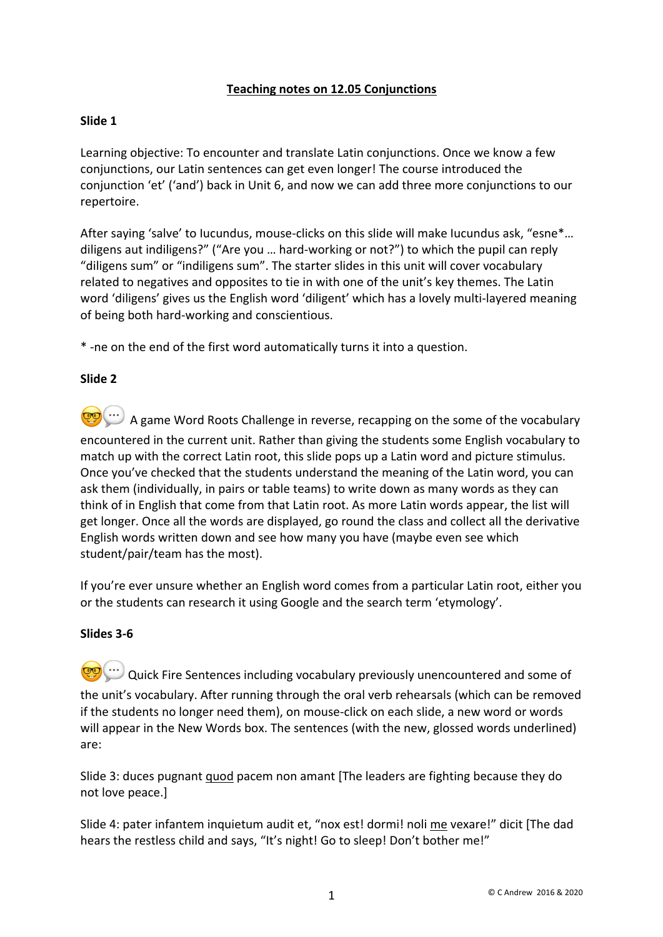# **Teaching notes on 12.05 Conjunctions**

# **Slide 1**

Learning objective: To encounter and translate Latin conjunctions. Once we know a few conjunctions, our Latin sentences can get even longer! The course introduced the conjunction 'et' ('and') back in Unit 6, and now we can add three more conjunctions to our repertoire.

After saying 'salve' to Iucundus, mouse-clicks on this slide will make Iucundus ask, "esne\*… diligens aut indiligens?" ("Are you … hard-working or not?") to which the pupil can reply "diligens sum" or "indiligens sum". The starter slides in this unit will cover vocabulary related to negatives and opposites to tie in with one of the unit's key themes. The Latin word 'diligens' gives us the English word 'diligent' which has a lovely multi-layered meaning of being both hard-working and conscientious.

\* -ne on the end of the first word automatically turns it into a question.

# **Slide 2**

**CO** ...) A game Word Roots Challenge in reverse, recapping on the some of the vocabulary encountered in the current unit. Rather than giving the students some English vocabulary to match up with the correct Latin root, this slide pops up a Latin word and picture stimulus. Once you've checked that the students understand the meaning of the Latin word, you can ask them (individually, in pairs or table teams) to write down as many words as they can think of in English that come from that Latin root. As more Latin words appear, the list will get longer. Once all the words are displayed, go round the class and collect all the derivative English words written down and see how many you have (maybe even see which student/pair/team has the most).

If you're ever unsure whether an English word comes from a particular Latin root, either you or the students can research it using Google and the search term 'etymology'.

# **Slides 3-6**

Quick Fire Sentences including vocabulary previously unencountered and some of the unit's vocabulary. After running through the oral verb rehearsals (which can be removed if the students no longer need them), on mouse-click on each slide, a new word or words will appear in the New Words box. The sentences (with the new, glossed words underlined) are:

Slide 3: duces pugnant quod pacem non amant [The leaders are fighting because they do not love peace.]

Slide 4: pater infantem inquietum audit et, "nox est! dormi! noli me vexare!" dicit [The dad hears the restless child and says, "It's night! Go to sleep! Don't bother me!"